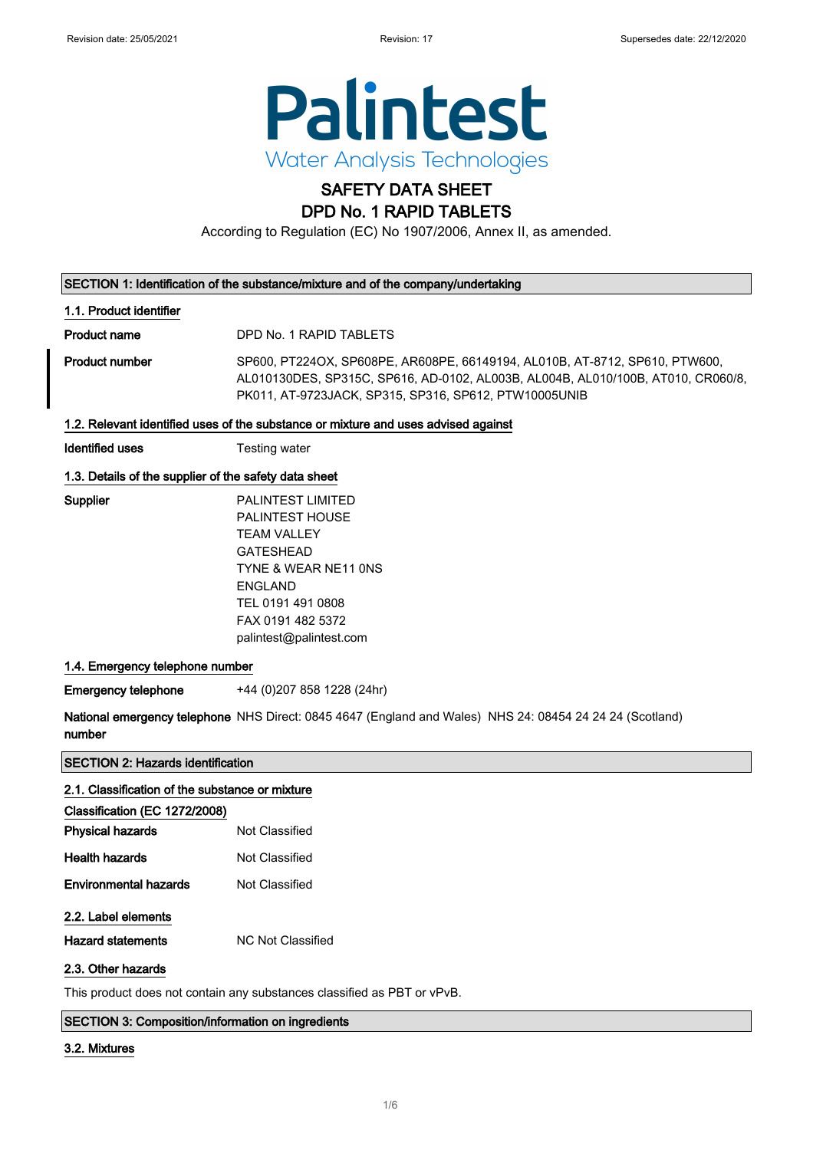

# SAFETY DATA SHEET

## DPD No. 1 RAPID TABLETS

According to Regulation (EC) No 1907/2006, Annex II, as amended.

#### SECTION 1: Identification of the substance/mixture and of the company/undertaking

#### 1.1. Product identifier

Product name DPD No. 1 RAPID TABLETS

Product number SP600, PT224OX, SP608PE, AR608PE, 66149194, AL010B, AT-8712, SP610, PTW600, AL010130DES, SP315C, SP616, AD-0102, AL003B, AL004B, AL010/100B, AT010, CR060/8, PK011, AT-9723JACK, SP315, SP316, SP612, PTW10005UNIB

## 1.2. Relevant identified uses of the substance or mixture and uses advised against

**Identified uses** Testing water

## 1.3. Details of the supplier of the safety data sheet

| Supplier | <b>PALINTEST LIMITED</b> |
|----------|--------------------------|
|          | <b>PALINTEST HOUSE</b>   |
|          | TFAM VALLEY              |
|          | <b>GATESHEAD</b>         |
|          | TYNE & WEAR NE11 ONS     |
|          | <b>FNGI AND</b>          |
|          | TEL 0191 491 0808        |
|          | FAX 0191 482 5372        |
|          | palintest@palintest.com  |
|          |                          |

## 1.4. Emergency telephone number

Emergency telephone +44 (0)207 858 1228 (24hr)

National emergency telephone NHS Direct: 0845 4647 (England and Wales) NHS 24: 08454 24 24 24 (Scotland) number

SECTION 2: Hazards identification

| 2.1. Classification of the substance or mixture |                   |
|-------------------------------------------------|-------------------|
| Classification (EC 1272/2008)                   |                   |
| <b>Physical hazards</b>                         | Not Classified    |
| <b>Health hazards</b>                           | Not Classified    |
| <b>Environmental hazards</b>                    | Not Classified    |
| 2.2. Label elements                             |                   |
| <b>Hazard statements</b>                        | NC Not Classified |
| 2.3. Other hazards                              |                   |

This product does not contain any substances classified as PBT or vPvB.

#### SECTION 3: Composition/information on ingredients

#### 3.2. Mixtures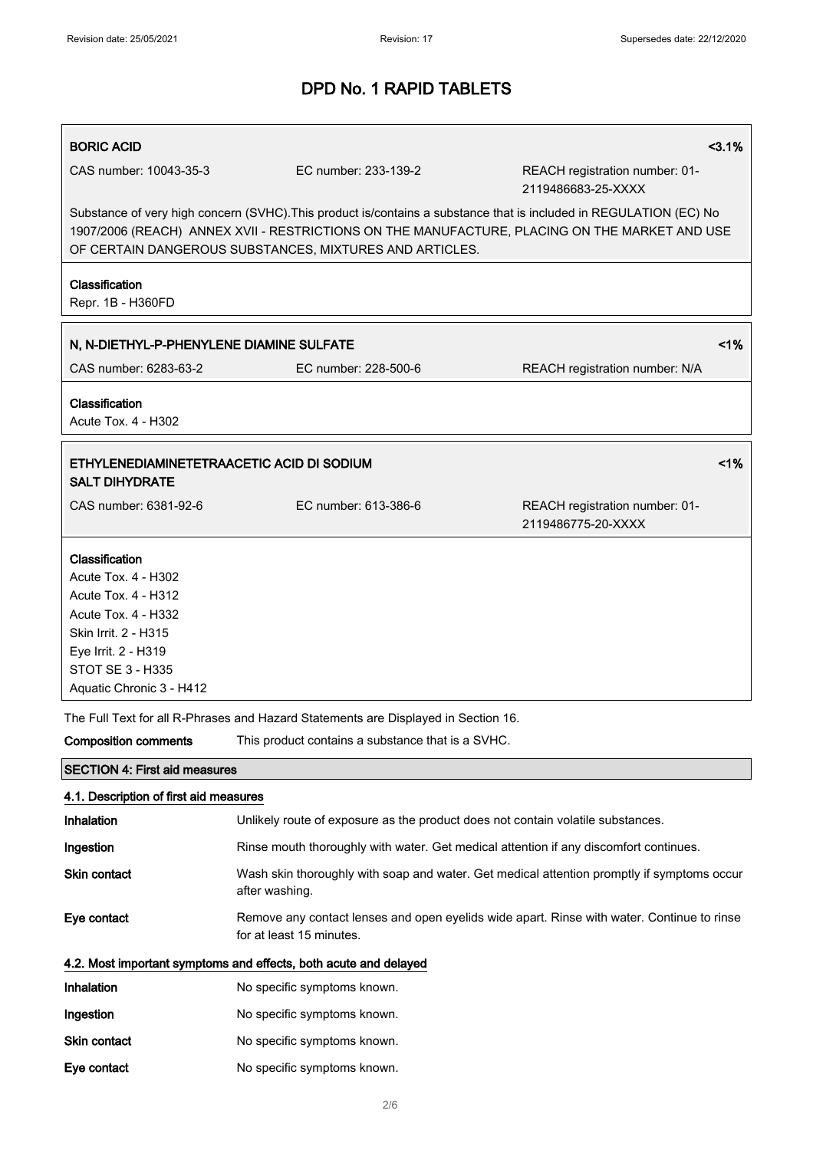| <b>BORIC ACID</b>                                                                                                                                                                  |                                                                                                                                                                                                                                                                                | 3.1%                                                 |
|------------------------------------------------------------------------------------------------------------------------------------------------------------------------------------|--------------------------------------------------------------------------------------------------------------------------------------------------------------------------------------------------------------------------------------------------------------------------------|------------------------------------------------------|
| CAS number: 10043-35-3                                                                                                                                                             | EC number: 233-139-2                                                                                                                                                                                                                                                           | REACH registration number: 01-<br>2119486683-25-XXXX |
|                                                                                                                                                                                    | Substance of very high concern (SVHC). This product is/contains a substance that is included in REGULATION (EC) No<br>1907/2006 (REACH) ANNEX XVII - RESTRICTIONS ON THE MANUFACTURE, PLACING ON THE MARKET AND USE<br>OF CERTAIN DANGEROUS SUBSTANCES, MIXTURES AND ARTICLES. |                                                      |
| Classification<br>Repr. 1B - H360FD                                                                                                                                                |                                                                                                                                                                                                                                                                                |                                                      |
| N, N-DIETHYL-P-PHENYLENE DIAMINE SULFATE                                                                                                                                           |                                                                                                                                                                                                                                                                                | 1%                                                   |
| CAS number: 6283-63-2                                                                                                                                                              | EC number: 228-500-6                                                                                                                                                                                                                                                           | REACH registration number: N/A                       |
| Classification<br>Acute Tox. 4 - H302                                                                                                                                              |                                                                                                                                                                                                                                                                                |                                                      |
| ETHYLENEDIAMINETETRAACETIC ACID DI SODIUM<br><b>SALT DIHYDRATE</b>                                                                                                                 |                                                                                                                                                                                                                                                                                | 1%                                                   |
| CAS number: 6381-92-6                                                                                                                                                              | EC number: 613-386-6                                                                                                                                                                                                                                                           | REACH registration number: 01-<br>2119486775-20-XXXX |
| Classification<br>Acute Tox. 4 - H302<br>Acute Tox. 4 - H312<br>Acute Tox. 4 - H332<br>Skin Irrit. 2 - H315<br>Eye Irrit. 2 - H319<br>STOT SE 3 - H335<br>Aquatic Chronic 3 - H412 |                                                                                                                                                                                                                                                                                |                                                      |
|                                                                                                                                                                                    | The Full Text for all R-Phrases and Hazard Statements are Displayed in Section 16.                                                                                                                                                                                             |                                                      |
| <b>Composition comments</b>                                                                                                                                                        | This product contains a substance that is a SVHC.                                                                                                                                                                                                                              |                                                      |
| <b>SECTION 4: First aid measures</b>                                                                                                                                               |                                                                                                                                                                                                                                                                                |                                                      |
| 4.1. Description of first aid measures                                                                                                                                             |                                                                                                                                                                                                                                                                                |                                                      |
| Inhalation                                                                                                                                                                         | Unlikely route of exposure as the product does not contain volatile substances.                                                                                                                                                                                                |                                                      |
| Ingestion                                                                                                                                                                          | Rinse mouth thoroughly with water. Get medical attention if any discomfort continues.                                                                                                                                                                                          |                                                      |
| Skin contact                                                                                                                                                                       | Wash skin thoroughly with soap and water. Get medical attention promptly if symptoms occur<br>after washing.                                                                                                                                                                   |                                                      |
| Eye contact                                                                                                                                                                        | Remove any contact lenses and open eyelids wide apart. Rinse with water. Continue to rinse<br>for at least 15 minutes.                                                                                                                                                         |                                                      |
|                                                                                                                                                                                    | 4.2. Most important symptoms and effects, both acute and delayed                                                                                                                                                                                                               |                                                      |
| <b>Inhalation</b>                                                                                                                                                                  | No specific symptoms known.                                                                                                                                                                                                                                                    |                                                      |
| Ingestion                                                                                                                                                                          | No specific symptoms known.                                                                                                                                                                                                                                                    |                                                      |
| Skin contact                                                                                                                                                                       | No specific symptoms known.                                                                                                                                                                                                                                                    |                                                      |
| Eye contact                                                                                                                                                                        | No specific symptoms known.                                                                                                                                                                                                                                                    |                                                      |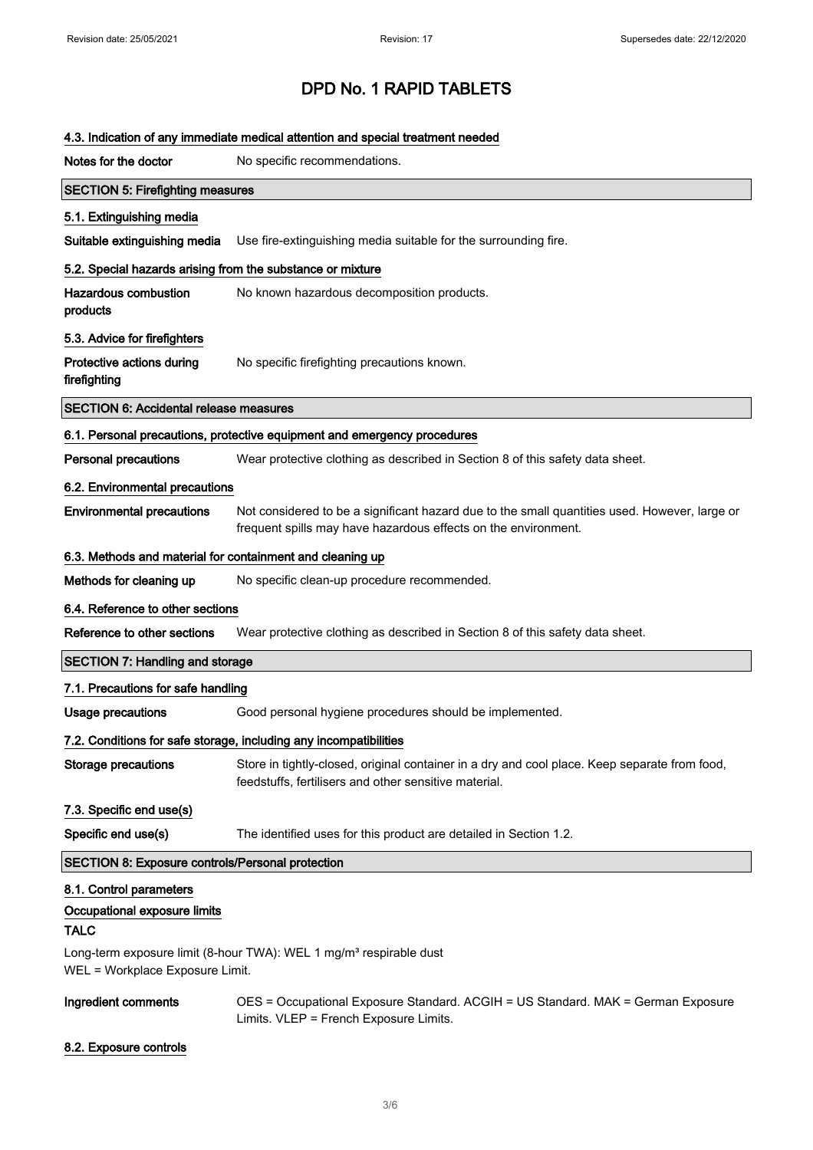|                                                            | 4.3. Indication of any immediate medical attention and special treatment needed                                                                                 |
|------------------------------------------------------------|-----------------------------------------------------------------------------------------------------------------------------------------------------------------|
| Notes for the doctor                                       | No specific recommendations.                                                                                                                                    |
| <b>SECTION 5: Firefighting measures</b>                    |                                                                                                                                                                 |
| 5.1. Extinguishing media                                   |                                                                                                                                                                 |
| Suitable extinguishing media                               | Use fire-extinguishing media suitable for the surrounding fire.                                                                                                 |
| 5.2. Special hazards arising from the substance or mixture |                                                                                                                                                                 |
| <b>Hazardous combustion</b><br>products                    | No known hazardous decomposition products.                                                                                                                      |
| 5.3. Advice for firefighters                               |                                                                                                                                                                 |
| Protective actions during<br>firefighting                  | No specific firefighting precautions known.                                                                                                                     |
| <b>SECTION 6: Accidental release measures</b>              |                                                                                                                                                                 |
|                                                            | 6.1. Personal precautions, protective equipment and emergency procedures                                                                                        |
| <b>Personal precautions</b>                                | Wear protective clothing as described in Section 8 of this safety data sheet.                                                                                   |
| 6.2. Environmental precautions                             |                                                                                                                                                                 |
| <b>Environmental precautions</b>                           | Not considered to be a significant hazard due to the small quantities used. However, large or<br>frequent spills may have hazardous effects on the environment. |
| 6.3. Methods and material for containment and cleaning up  |                                                                                                                                                                 |
| Methods for cleaning up                                    | No specific clean-up procedure recommended.                                                                                                                     |
| 6.4. Reference to other sections                           |                                                                                                                                                                 |
| Reference to other sections                                | Wear protective clothing as described in Section 8 of this safety data sheet.                                                                                   |
| <b>SECTION 7: Handling and storage</b>                     |                                                                                                                                                                 |
| 7.1. Precautions for safe handling                         |                                                                                                                                                                 |
| <b>Usage precautions</b>                                   | Good personal hygiene procedures should be implemented.                                                                                                         |
|                                                            | 7.2. Conditions for safe storage, including any incompatibilities                                                                                               |
| <b>Storage precautions</b>                                 | Store in tightly-closed, original container in a dry and cool place. Keep separate from food,<br>feedstuffs, fertilisers and other sensitive material.          |
| 7.3. Specific end use(s)                                   |                                                                                                                                                                 |
| Specific end use(s)                                        | The identified uses for this product are detailed in Section 1.2.                                                                                               |
| <b>SECTION 8: Exposure controls/Personal protection</b>    |                                                                                                                                                                 |
| 8.1. Control parameters                                    |                                                                                                                                                                 |
| Occupational exposure limits<br><b>TALC</b>                |                                                                                                                                                                 |
| WEL = Workplace Exposure Limit.                            | Long-term exposure limit (8-hour TWA): WEL 1 mg/m <sup>3</sup> respirable dust                                                                                  |
| Ingredient comments                                        | OES = Occupational Exposure Standard. ACGIH = US Standard. MAK = German Exposure<br>Limits. VLEP = French Exposure Limits.                                      |

## 8.2. Exposure controls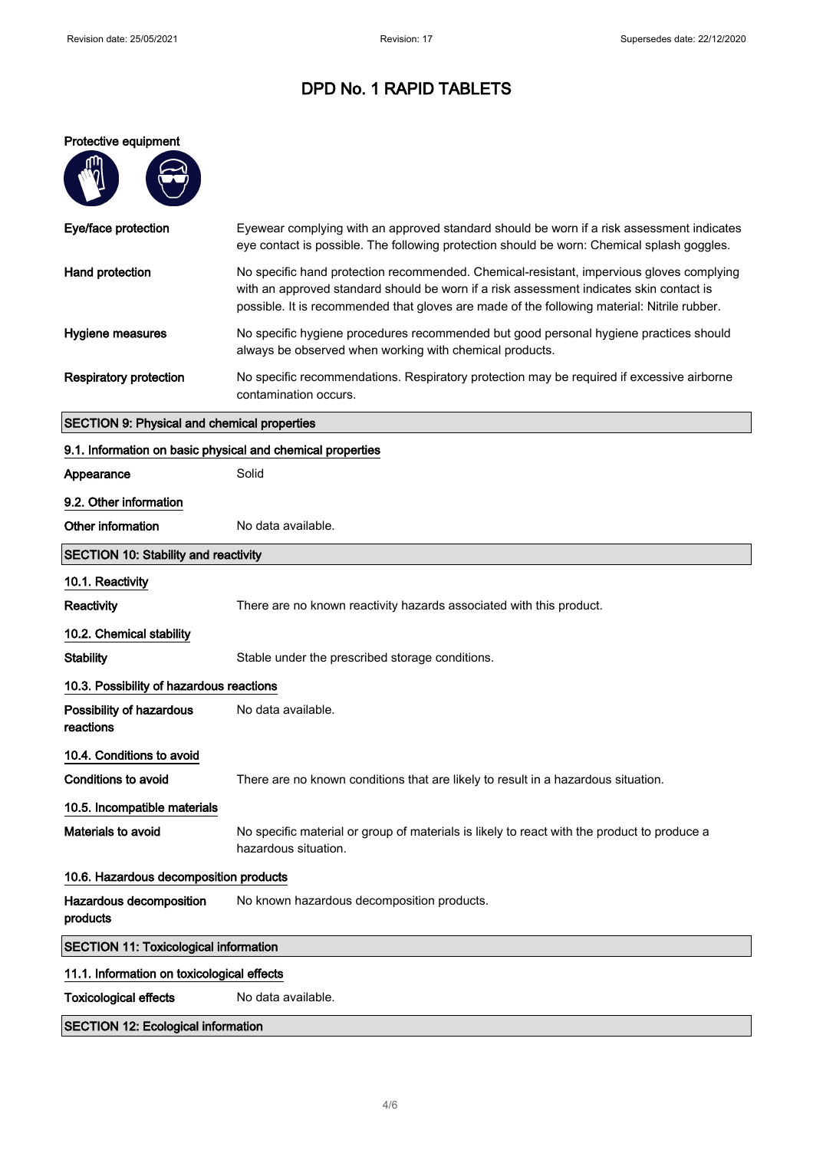$\mathcal{L}_{\mathcal{A}}$ 

# DPD No. 1 RAPID TABLETS

## Protective equipment

| Eye/face protection                                        | Eyewear complying with an approved standard should be worn if a risk assessment indicates<br>eye contact is possible. The following protection should be worn: Chemical splash goggles.                                                                                            |
|------------------------------------------------------------|------------------------------------------------------------------------------------------------------------------------------------------------------------------------------------------------------------------------------------------------------------------------------------|
| Hand protection                                            | No specific hand protection recommended. Chemical-resistant, impervious gloves complying<br>with an approved standard should be worn if a risk assessment indicates skin contact is<br>possible. It is recommended that gloves are made of the following material: Nitrile rubber. |
| Hygiene measures                                           | No specific hygiene procedures recommended but good personal hygiene practices should<br>always be observed when working with chemical products.                                                                                                                                   |
| <b>Respiratory protection</b>                              | No specific recommendations. Respiratory protection may be required if excessive airborne<br>contamination occurs.                                                                                                                                                                 |
| <b>SECTION 9: Physical and chemical properties</b>         |                                                                                                                                                                                                                                                                                    |
| 9.1. Information on basic physical and chemical properties |                                                                                                                                                                                                                                                                                    |
| Appearance                                                 | Solid                                                                                                                                                                                                                                                                              |
| 9.2. Other information                                     |                                                                                                                                                                                                                                                                                    |
| Other information                                          | No data available.                                                                                                                                                                                                                                                                 |
| <b>SECTION 10: Stability and reactivity</b>                |                                                                                                                                                                                                                                                                                    |
| 10.1. Reactivity                                           |                                                                                                                                                                                                                                                                                    |
| Reactivity                                                 | There are no known reactivity hazards associated with this product.                                                                                                                                                                                                                |
| 10.2. Chemical stability                                   |                                                                                                                                                                                                                                                                                    |
| <b>Stability</b>                                           | Stable under the prescribed storage conditions.                                                                                                                                                                                                                                    |
| 10.3. Possibility of hazardous reactions                   |                                                                                                                                                                                                                                                                                    |
| Possibility of hazardous<br>reactions                      | No data available.                                                                                                                                                                                                                                                                 |
| 10.4. Conditions to avoid                                  |                                                                                                                                                                                                                                                                                    |
| <b>Conditions to avoid</b>                                 | There are no known conditions that are likely to result in a hazardous situation.                                                                                                                                                                                                  |
| 10.5. Incompatible materials                               |                                                                                                                                                                                                                                                                                    |
| Materials to avoid                                         | No specific material or group of materials is likely to react with the product to produce a<br>hazardous situation.                                                                                                                                                                |
| 10.6. Hazardous decomposition products                     |                                                                                                                                                                                                                                                                                    |
| Hazardous decomposition<br>products                        | No known hazardous decomposition products.                                                                                                                                                                                                                                         |
| <b>SECTION 11: Toxicological information</b>               |                                                                                                                                                                                                                                                                                    |
| 11.1. Information on toxicological effects                 |                                                                                                                                                                                                                                                                                    |
| <b>Toxicological effects</b>                               | No data available.                                                                                                                                                                                                                                                                 |
| <b>SECTION 12: Ecological information</b>                  |                                                                                                                                                                                                                                                                                    |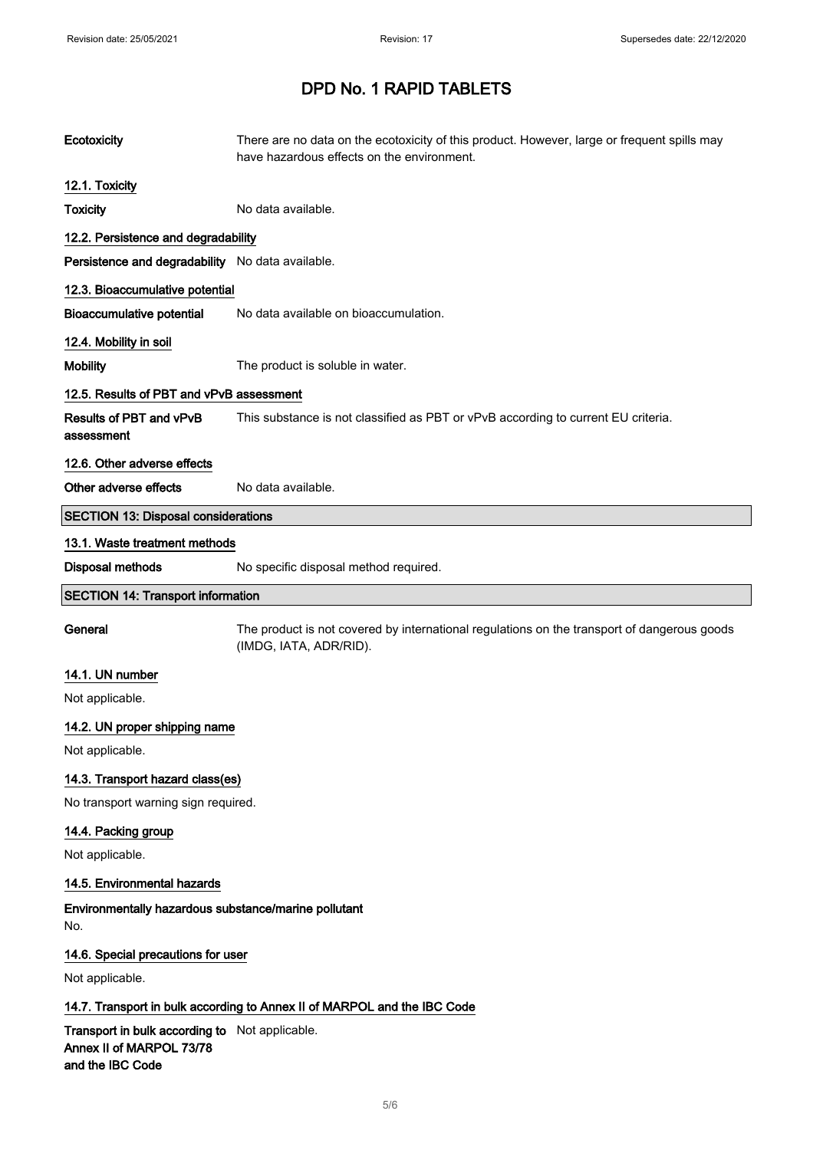| Ecotoxicity                                                                                    | There are no data on the ecotoxicity of this product. However, large or frequent spills may<br>have hazardous effects on the environment. |
|------------------------------------------------------------------------------------------------|-------------------------------------------------------------------------------------------------------------------------------------------|
| 12.1. Toxicity                                                                                 |                                                                                                                                           |
| <b>Toxicity</b>                                                                                | No data available.                                                                                                                        |
| 12.2. Persistence and degradability                                                            |                                                                                                                                           |
| Persistence and degradability No data available.                                               |                                                                                                                                           |
| 12.3. Bioaccumulative potential                                                                |                                                                                                                                           |
| <b>Bioaccumulative potential</b>                                                               | No data available on bioaccumulation.                                                                                                     |
| 12.4. Mobility in soil                                                                         |                                                                                                                                           |
| <b>Mobility</b>                                                                                | The product is soluble in water.                                                                                                          |
| 12.5. Results of PBT and vPvB assessment                                                       |                                                                                                                                           |
| Results of PBT and vPvB<br>assessment                                                          | This substance is not classified as PBT or vPvB according to current EU criteria.                                                         |
| 12.6. Other adverse effects                                                                    |                                                                                                                                           |
| Other adverse effects                                                                          | No data available.                                                                                                                        |
| <b>SECTION 13: Disposal considerations</b>                                                     |                                                                                                                                           |
| 13.1. Waste treatment methods                                                                  |                                                                                                                                           |
| Disposal methods                                                                               | No specific disposal method required.                                                                                                     |
| <b>SECTION 14: Transport information</b>                                                       |                                                                                                                                           |
| General                                                                                        | The product is not covered by international regulations on the transport of dangerous goods<br>(IMDG, IATA, ADR/RID).                     |
| 14.1. UN number                                                                                |                                                                                                                                           |
| Not applicable.                                                                                |                                                                                                                                           |
| 14.2. UN proper shipping name                                                                  |                                                                                                                                           |
| Not applicable.                                                                                |                                                                                                                                           |
| 14.3. Transport hazard class(es)                                                               |                                                                                                                                           |
| No transport warning sign required.                                                            |                                                                                                                                           |
| 14.4. Packing group                                                                            |                                                                                                                                           |
| Not applicable.                                                                                |                                                                                                                                           |
| 14.5. Environmental hazards                                                                    |                                                                                                                                           |
| Environmentally hazardous substance/marine pollutant<br>No.                                    |                                                                                                                                           |
| 14.6. Special precautions for user                                                             |                                                                                                                                           |
| Not applicable.                                                                                |                                                                                                                                           |
|                                                                                                | 14.7. Transport in bulk according to Annex II of MARPOL and the IBC Code                                                                  |
| Transport in bulk according to Not applicable.<br>Annex II of MARPOL 73/78<br>and the IBC Code |                                                                                                                                           |